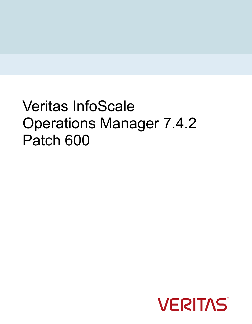# Veritas InfoScale Operations Manager 7.4.2 Patch 600

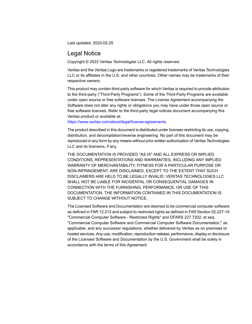Last updated: 2022-02-25

#### Legal Notice

Copyright © 2022 Veritas Technologies LLC. All rights reserved.

Veritas and the Veritas Logo are trademarks or registered trademarks of Veritas Technologies LLC or its affiliates in the U.S. and other countries. Other names may be trademarks of their respective owners.

This product may contain third-party software for which Veritas is required to provide attribution to the third-party ("Third-Party Programs"). Some of the Third-Party Programs are available under open source or free software licenses. The License Agreement accompanying the Software does not alter any rights or obligations you may have under those open source or free software licenses. Refer to the third-party legal notices document accompanying this Veritas product or available at:

<https://www.veritas.com/about/legal/license-agreements>

The product described in this document is distributed under licenses restricting its use, copying, distribution, and decompilation/reverse engineering. No part of this document may be reproduced in any form by any means without prior written authorization of Veritas Technologies LLC and its licensors, if any.

THE DOCUMENTATION IS PROVIDED "AS IS" AND ALL EXPRESS OR IMPLIED CONDITIONS, REPRESENTATIONS AND WARRANTIES, INCLUDING ANY IMPLIED WARRANTY OF MERCHANTABILITY, FITNESS FOR A PARTICULAR PURPOSE OR NON-INFRINGEMENT, ARE DISCLAIMED, EXCEPT TO THE EXTENT THAT SUCH DISCLAIMERS ARE HELD TO BE LEGALLY INVALID. VERITAS TECHNOLOGIES LLC SHALL NOT BE LIABLE FOR INCIDENTAL OR CONSEQUENTIAL DAMAGES IN CONNECTION WITH THE FURNISHING, PERFORMANCE, OR USE OF THIS DOCUMENTATION. THE INFORMATION CONTAINED IN THIS DOCUMENTATION IS SUBJECT TO CHANGE WITHOUT NOTICE.

The Licensed Software and Documentation are deemed to be commercial computer software as defined in FAR 12.212 and subject to restricted rights as defined in FAR Section 52.227-19 "Commercial Computer Software - Restricted Rights" and DFARS 227.7202, et seq. "Commercial Computer Software and Commercial Computer Software Documentation," as applicable, and any successor regulations, whether delivered by Veritas as on premises or hosted services. Any use, modification, reproduction release, performance, display or disclosure of the Licensed Software and Documentation by the U.S. Government shall be solely in accordance with the terms of this Agreement.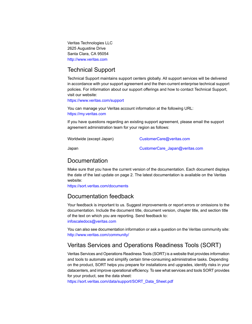Veritas Technologies LLC 2625 Augustine Drive Santa Clara, CA 95054 <http://www.veritas.com>

## Technical Support

Technical Support maintains support centers globally. All support services will be delivered in accordance with your support agreement and the then-current enterprise technical support policies. For information about our support offerings and how to contact Technical Support, visit our website:

<https://www.veritas.com/support>

You can manage your Veritas account information at the following URL: <https://my.veritas.com>

If you have questions regarding an existing support agreement, please email the support agreement administration team for your region as follows:

Worldwide (except Japan) [CustomerCare@veritas.com](mailto:CustomerCare@veritas.com)

Japan [CustomerCare\\_Japan@veritas.com](mailto:CustomerCare_Japan@veritas.com)

## Documentation

Make sure that you have the current version of the documentation. Each document displays the date of the last update on page 2. The latest documentation is available on the Veritas website:

<https://sort.veritas.com/documents>

## Documentation feedback

Your feedback is important to us. Suggest improvements or report errors or omissions to the documentation. Include the document title, document version, chapter title, and section title of the text on which you are reporting. Send feedback to:

[infoscaledocs@veritas.com](mailto:infoscaledocs@veritas.com?Subject=InfoScale)

You can also see documentation information or ask a question on the Veritas community site: <http://www.veritas.com/community/>

## Veritas Services and Operations Readiness Tools (SORT)

Veritas Services and Operations Readiness Tools (SORT) is a website that provides information and tools to automate and simplify certain time-consuming administrative tasks. Depending on the product, SORT helps you prepare for installations and upgrades, identify risks in your datacenters, and improve operational efficiency. To see what services and tools SORT provides for your product, see the data sheet:

[https://sort.veritas.com/data/support/SORT\\_Data\\_Sheet.pdf](https://sort.veritas.com/data/support/SORT_Data_Sheet.pdf)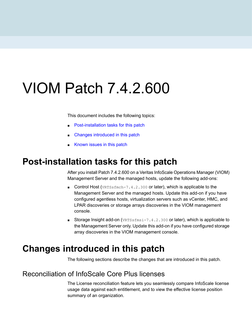# VIOM Patch 7.4.2.600

This document includes the following topics:

- [Post-installation](#page-3-0) tasks for this patch
- <span id="page-3-0"></span>■ Changes [introduced](#page-3-1) in this patch
- [Known](#page-13-0) issues in this patch

## **Post-installation tasks for this patch**

After you install Patch 7.4.2.600 on a Veritas InfoScale Operations Manager (VIOM) Management Server and the managed hosts, update the following add-ons:

- Control Host (VRTSsfmch-7.4.2.300 or later), which is applicable to the Management Server and the managed hosts. Update this add-on if you have configured agentless hosts, virtualization servers such as vCenter, HMC, and LPAR discoveries or storage arrays discoveries in the VIOM management console.
- <span id="page-3-1"></span>■ Storage Insight add-on (VRTSsfmsi-7.4.2.300 or later), which is applicable to the Management Server only. Update this add-on if you have configured storage array discoveries in the VIOM management console.

# **Changes introduced in this patch**

The following sections describe the changes that are introduced in this patch.

## Reconciliation of InfoScale Core Plus licenses

The License reconciliation feature lets you seamlessly compare InfoScale license usage data against each entitlement, and to view the effective license position summary of an organization.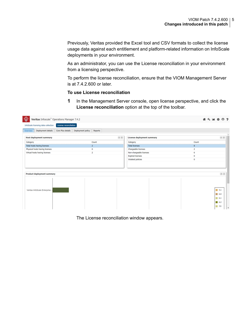Previously, Veritas provided the Excel tool and CSV formats to collect the license usage data against each entitlement and platform-related information on InfoScale deployments in your environment.

As an administrator, you can use the License reconciliation in your environment from a licensing perspective.

To perform the license reconciliation, ensure that the VIOM Management Server is at 7.4.2.600 or later.

#### **To use License reconciliation**

**1** In the Management Server console, open license perspective, and click the **License reconciliation** option at the top of the toolbar.

| ◈<br>Veritas Infoscale" Operations Manager 7.4.2                           |                |                            |                            |                | <b># 4 M &amp; O ?</b> |                                          |  |
|----------------------------------------------------------------------------|----------------|----------------------------|----------------------------|----------------|------------------------|------------------------------------------|--|
| InfoScale licensing data collection<br>License reconciliation              |                |                            |                            |                |                        |                                          |  |
| Deployment details Core Plus details Deployment policy Reports<br>Overview |                |                            |                            |                |                        |                                          |  |
| <b>Host deployment summary</b>                                             |                | $\mathbb{R}[\overline{a}]$ | License deployment summary |                |                        | $\boxed{\triangleleft \left( 4 \right)}$ |  |
| Category                                                                   | Count          |                            | Category                   | Count          |                        |                                          |  |
| Total hosts having licenses                                                | $\overline{2}$ |                            | <b>Total licenses</b>      | 8              |                        |                                          |  |
| Physical hosts having licenses                                             | $\bf{0}$       |                            | Chargeable licenses        | $\overline{2}$ |                        |                                          |  |
| Virtual hosts having licenses                                              | $\overline{a}$ |                            | Non-chargeable licenses    | 6              |                        |                                          |  |
|                                                                            |                |                            | <b>Expired licenses</b>    | $\mathbf 0$    |                        |                                          |  |
|                                                                            |                |                            | Violated policies          | $\bf{0}$       |                        |                                          |  |
|                                                                            |                |                            |                            |                |                        |                                          |  |
|                                                                            |                |                            |                            |                |                        |                                          |  |
| Product deployment summary                                                 |                |                            |                            |                |                        | $\mathbb{R}$ $\overline{4}$              |  |
|                                                                            |                |                            |                            |                |                        |                                          |  |
|                                                                            |                |                            |                            |                |                        |                                          |  |
|                                                                            |                |                            |                            |                |                        |                                          |  |
|                                                                            |                |                            |                            |                |                        |                                          |  |
| Veritas InfoScale Enterprise                                               |                |                            |                            |                |                        | $\blacksquare$ 5.1                       |  |
|                                                                            |                |                            |                            |                |                        | $\blacksquare$ 6.0                       |  |
|                                                                            |                |                            |                            |                |                        | $\Box$ 6.1                               |  |
|                                                                            |                |                            |                            |                |                        | 6.2                                      |  |
|                                                                            |                |                            |                            |                |                        | $\blacksquare$ 7.0                       |  |
|                                                                            |                |                            |                            |                |                        |                                          |  |

The License reconciliation window appears.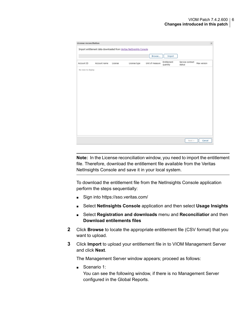| License reconciliation |              |         |                                                                     |                 |                         |                            |             |
|------------------------|--------------|---------|---------------------------------------------------------------------|-----------------|-------------------------|----------------------------|-------------|
|                        |              |         | Import entitlement data downloaded from Veritas NetInsights Console |                 |                         |                            |             |
|                        |              |         |                                                                     | Browse          | Import                  |                            |             |
| Account ID             | Account name | License | License type                                                        | Unit of measure | Entitlement<br>quantity | Service contract<br>status | Max version |
| No rows to display     |              |         |                                                                     |                 |                         |                            |             |
|                        |              |         |                                                                     |                 |                         |                            |             |
|                        |              |         |                                                                     |                 |                         |                            |             |
|                        |              |         |                                                                     |                 |                         |                            |             |
|                        |              |         |                                                                     |                 |                         |                            |             |
|                        |              |         |                                                                     |                 |                         |                            |             |
|                        |              |         |                                                                     |                 |                         |                            |             |
|                        |              |         |                                                                     |                 |                         |                            |             |
|                        |              |         |                                                                     |                 |                         |                            |             |
|                        |              |         |                                                                     |                 |                         |                            |             |
|                        |              |         |                                                                     |                 |                         |                            |             |
|                        |              |         |                                                                     |                 |                         |                            |             |
|                        |              |         |                                                                     |                 |                         | Next                       | Cancel      |

**Note:** In the License reconciliation window, you need to import the entitlement file. Therefore, download the entitlement file available from the Veritas NetInsights Console and save it in your local system.

To download the entitlement file from the NetInsights Console application perform the steps sequentially:

- Sign into https://sso.veritas.com/
- Select **NetInsights Console** application and then select **Usage Insights**
- Select **Registration and downloads** menu and **Reconciliatior** and then **Download entilements files**
- **2** Click **Browse** to locate the appropriate entitlement file (CSV format) that you want to upload.
- **3** Click **Import** to upload your entitlement file in to VIOM Management Server and click **Next**.

The Management Server window appears; proceed as follows:

 $\blacksquare$  Scenario 1:

You can see the following window, if there is no Management Server configured in the Global Reports.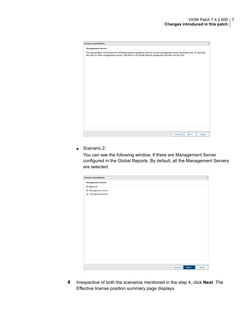| License reconciliation                                                                                                                                                                                                                          |        |
|-------------------------------------------------------------------------------------------------------------------------------------------------------------------------------------------------------------------------------------------------|--------|
| Management servers                                                                                                                                                                                                                              |        |
| The reconciliation will be done for InfoScale systems registered with the current management server (localhost) only. To reconcile<br>the data for other management servers, add them in the Gloabl Reports perspective and then run this tool. |        |
|                                                                                                                                                                                                                                                 |        |
|                                                                                                                                                                                                                                                 |        |
|                                                                                                                                                                                                                                                 |        |
|                                                                                                                                                                                                                                                 |        |
|                                                                                                                                                                                                                                                 |        |
|                                                                                                                                                                                                                                                 |        |
|                                                                                                                                                                                                                                                 |        |
|                                                                                                                                                                                                                                                 |        |
|                                                                                                                                                                                                                                                 |        |
| Next<br>$<$ Previous                                                                                                                                                                                                                            | Cancel |

■ Scenario 2:

You can see the following window, If there are Management Server configured in the Global Reports. By default, all the Management Servers are selected.

| License reconciliation | $\overline{\times}$  |
|------------------------|----------------------|
| Management servers     |                      |
| Select all             |                      |
| Management server1     |                      |
| V Managementserver2    |                      |
|                        |                      |
|                        |                      |
|                        |                      |
|                        |                      |
|                        |                      |
|                        |                      |
|                        |                      |
|                        |                      |
|                        |                      |
|                        |                      |
|                        |                      |
|                        |                      |
|                        |                      |
|                        |                      |
|                        |                      |
|                        |                      |
|                        |                      |
|                        | < Previous<br>Cancel |
|                        | Next >               |

**4** Irrespective of both the scenarios mentioned in the step 4, click **Next**. The Effective license position summary page displays.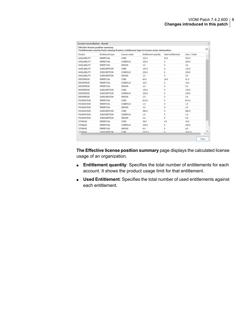| License reconciliation - Result |                                           |                 |                                                                                            |                      |              | $\infty$ |
|---------------------------------|-------------------------------------------|-----------------|--------------------------------------------------------------------------------------------|----------------------|--------------|----------|
|                                 | <b>Effective license position summary</b> |                 | *Entitlements used by hosts missing Product, Entitlement type & License meter information. |                      |              | 间        |
| Product                         | Entitlement type                          | License meter   | Entitlement quantity                                                                       | Used entitlements    | Over / Under |          |
| AVAILABILITY                    | <b>PERPETUAL</b>                          | CORE            | 323.0                                                                                      | 20.0                 | 303.0        |          |
| AVAILABILITY                    | PERPETUAL                                 | <b>COREPLUS</b> | 220.0                                                                                      | $\mathbf 0$          | 220.0        |          |
| AVAILABILITY                    | PERPETUAL                                 | <b>SERVER</b>   | 3.0                                                                                        | $\Omega$             | 3.0          |          |
| AVAILABILITY                    | SUBSCRIPTION                              | CORE            | 124.0                                                                                      | $\bf{0}$             | 124.0        |          |
| AVAILABILITY                    | <b>SUBSCRIPTION</b>                       | <b>COREPLUS</b> | 220.0                                                                                      | $\bf{0}$             | 220.0        |          |
| AVAILABILITY                    | SUBSCRIPTION                              | <b>SERVER</b>   | 3.0                                                                                        | $\mathbf 0$          | 3.0          |          |
| ENTERPRISE                      | PERPETUAL                                 | CORE            | 69.0                                                                                       | 18.0                 | 51.0         |          |
| <b>ENTERPRISE</b>               | PERPETUAL                                 | <b>COREPLUS</b> | 10.0                                                                                       | $\bf{0}$             | 10.0         |          |
| <b>ENTERPRISE</b>               | <b>PERPETUAL</b>                          | <b>SERVER</b>   | 2.0                                                                                        | $\ddot{\phantom{0}}$ | 2.0          |          |
| <b>ENTERPRISE</b>               | SUBSCRIPTION                              | CORE            | 159.0                                                                                      | 0                    | 159.0        |          |
| ENTERPRISE                      | SUBSCRIPTION                              | COREPLUS        | 220.0                                                                                      | $\theta$             | 220.0        |          |
| <b>ENTERPRISE</b>               | <b>SUBSCRIPTION</b>                       | <b>SERVER</b>   | 2.0                                                                                        | $\ddot{\mathbf{0}}$  | 2.0          |          |
| <b>FOUNDATION</b>               | <b>PERPETUAL</b>                          | CORE            | 814.0                                                                                      | $\bf{0}$             | 814.0        |          |
| <b>FOUNDATION</b>               | PERPETUAL                                 | <b>COREPLUS</b> | 1.0                                                                                        | $\bf{0}$             | 1.0          |          |
| <b>FOUNDATION</b>               | PERPETUAL                                 | <b>SERVER</b>   | 2.0                                                                                        | $\Omega$             | 2.0          |          |
| <b>FOUNDATION</b>               | <b>SUBSCRIPTION</b>                       | CORE            | 589.0                                                                                      | $\Omega$             | 589.0        |          |
| <b>FOUNDATION</b>               | SUBSCRIPTION                              | COREPLUS        | 1.0                                                                                        | $\theta$             | 1.0          |          |
| <b>FOUNDATION</b>               | SUBSCRIPTION                              | <b>SERVER</b>   | 4.0                                                                                        | $\Omega$             | 4.0          |          |
| STORAGE                         | PERPETUAL                                 | CORE            | 38.0                                                                                       | 4.0                  | 34.0         |          |
| STORAGE                         | PERPETUAL                                 | <b>COREPLUS</b> | 220.0                                                                                      | $\mathbf{0}$         | 220.0        |          |
| STORAGE                         | PERPETUAL                                 | <b>SERVER</b>   | 6.0                                                                                        | $^{\circ}$           | 6.0          |          |
| <b>STORAGE</b>                  | SURSCRIPTION.                             | CORE            | 3015.0                                                                                     | $\Omega$             | 3015.0       | ÷<br>ъ   |

**The Effective license position summary** page displays the calculated license usage of an organization.

- **Entitlement quantity**: Specifies the total number of entitlements for each account. It shows the product usage limit for that entitlement.
- **Used Entitlement**: Specifies the total number of used entitlements against each entitlement.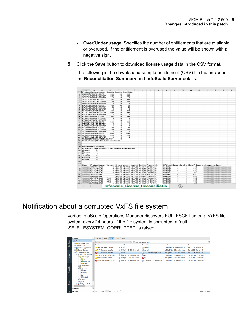- **Over/Under usage**: Specifies the number of entitlements that are available or overused. If the entitlement is overused the value will be shown with a negative sign.
- **5** Click the **Save** button to download license usage data in the CSV format.

The following is the downloaded sample entitlement (CSV) file that includes the **Reconciliation Summary** and **InfoScale Server** details:

|                 | $\overline{A}$       |                                           | <b>B</b> C | $\mathbf{D}$   |                | $\epsilon$ $\epsilon$ $\alpha$                                         |  | $H$ $1$ $1$ $2$ |             | $K \cup L$ | M.    | N | $\circ$        | P.                                                      | $\circ$ | $R$ $s$ |  |
|-----------------|----------------------|-------------------------------------------|------------|----------------|----------------|------------------------------------------------------------------------|--|-----------------|-------------|------------|-------|---|----------------|---------------------------------------------------------|---------|---------|--|
|                 |                      |                                           |            |                |                | Product Entitlem License Quantity Quantity Over Under                  |  |                 |             |            |       |   |                |                                                         |         |         |  |
| ż               |                      | <b>AVAILA PERPE CORE</b>                  |            | 323            | 20             | 001                                                                    |  |                 |             |            |       |   |                |                                                         |         |         |  |
| з               |                      | AVAILA PERPE' COREP                       |            | 220            | $\Omega$       | 220                                                                    |  |                 |             |            |       |   |                |                                                         |         |         |  |
| ٠               |                      | <b>AVAILA PERPE SERVER</b>                |            | э              | $\alpha$       | э                                                                      |  |                 |             |            |       |   |                |                                                         |         |         |  |
| 3               |                      | <b>AVAILA SUBSCI CORE</b>                 |            | 124            | $\circ$        | 124                                                                    |  |                 |             |            |       |   |                |                                                         |         |         |  |
| e.              |                      | AVAILA SUBSCI COREP                       |            | 220            | $\alpha$       | 220                                                                    |  |                 |             |            |       |   |                |                                                         |         |         |  |
|                 |                      | <b>AVAILA SUBSCI SERVEF</b>               |            | $\mathbf{R}$   | $\Omega$       | $\mathbf{x}$                                                           |  |                 |             |            |       |   |                |                                                         |         |         |  |
| $\circ$         |                      | <b>ENTERI PERPE' CORE</b>                 |            | 69             | \$8            | 51                                                                     |  |                 |             |            |       |   |                |                                                         |         |         |  |
| $\mathfrak{p}$  |                      | ENTERI PERPE' COREP                       |            | 10             | $\Omega$       | 10 <sub>1</sub>                                                        |  |                 |             |            |       |   |                |                                                         |         |         |  |
| $\overline{10}$ |                      | <b>ENTERI PERPE' SERVEF</b>               |            | $\overline{z}$ | ۰              | $\mathbf{z}$                                                           |  |                 |             |            |       |   |                |                                                         |         |         |  |
| 11              |                      | <b>ENTERS SUBSCI CORE</b>                 |            | 159            | $\alpha$       | 159                                                                    |  |                 |             |            |       |   |                |                                                         |         |         |  |
| 12              |                      | <b>ENTERF SUBSCI COREP</b>                |            | 220            | n.             | 220                                                                    |  |                 |             |            |       |   |                |                                                         |         |         |  |
| 13              |                      | <b>ENTERI SUBSCI SERVEF</b>               |            | $\overline{2}$ | $\alpha$       | $\overline{\mathbf{z}}$                                                |  |                 |             |            |       |   |                |                                                         |         |         |  |
| 14              |                      | FOUND, PERPE' CORE                        |            | 814            | o              | 814                                                                    |  |                 |             |            |       |   |                |                                                         |         |         |  |
| 15              |                      | FOUND, PERPE' COREP                       |            |                | $\alpha$       |                                                                        |  |                 |             |            |       |   |                |                                                         |         |         |  |
| M.              |                      | FOUND, PERPE' SERVER                      |            | $\overline{2}$ | $\Omega$       | $\overline{2}$                                                         |  |                 |             |            |       |   |                |                                                         |         |         |  |
| 17              |                      | FOUND, SUBSCI CORE                        |            | 589            | $\circ$        | 589                                                                    |  |                 |             |            |       |   |                |                                                         |         |         |  |
| 10              |                      | FOUND, SUBSCI COREP.                      |            |                | ۰              | 1                                                                      |  |                 |             |            |       |   |                |                                                         |         |         |  |
| 12 <sub>0</sub> |                      | FOUND, SUBSCI SERVER                      |            | $\overline{a}$ | $\alpha$       | $\overline{\phantom{a}}$                                               |  |                 |             |            |       |   |                |                                                         |         |         |  |
| 20              |                      | STORAL PERPE' CORE                        |            | 38             | $\overline{4}$ | 34                                                                     |  |                 |             |            |       |   |                |                                                         |         |         |  |
|                 |                      | STORAI PERPE' COREP                       |            | 220            | n              | 220                                                                    |  |                 |             |            |       |   |                |                                                         |         |         |  |
| 21              |                      | STORAI PERPE' SERVEF                      |            | s.             | $\Omega$       | s                                                                      |  |                 |             |            |       |   |                |                                                         |         |         |  |
| 22              |                      | STORAI SUBSCI CORE                        |            | 3015           | $\alpha$       | 3015                                                                   |  |                 |             |            |       |   |                |                                                         |         |         |  |
| 23              |                      |                                           |            |                | o.             |                                                                        |  |                 |             |            |       |   |                |                                                         |         |         |  |
| 24              |                      | STORAI SUBSCI COREP                       |            | 220<br>ž,      | ٠              | 220<br>$\mathcal{D}$                                                   |  |                 |             |            |       |   |                |                                                         |         |         |  |
| 25              |                      | STORAI SUBSCI SERVER                      |            |                |                |                                                                        |  |                 |             |            |       |   |                |                                                         |         |         |  |
| 26              |                      | UNIDENTIFIED ENTITLEMENTS*                |            |                |                |                                                                        |  |                 |             |            |       |   |                |                                                         |         |         |  |
| 27              |                      | "Hosts missing Product bundle information |            |                |                |                                                                        |  |                 |             |            |       |   |                |                                                         |         |         |  |
| 20 <sub>0</sub> |                      |                                           |            |                |                |                                                                        |  |                 |             |            |       |   |                |                                                         |         |         |  |
| 28              |                      |                                           |            |                |                |                                                                        |  |                 |             |            |       |   |                |                                                         |         |         |  |
| 00              |                      | <b>Fleconciliation Summary</b>            |            |                |                |                                                                        |  |                 |             |            |       |   |                |                                                         |         |         |  |
| 31              |                      |                                           |            |                |                | Core ma D-Drived mapping E-Exact mapping N-No mapping                  |  |                 |             |            |       |   |                |                                                         |         |         |  |
| 02              | Amount               | 12                                        |            |                |                |                                                                        |  |                 |             |            |       |   |                |                                                         |         |         |  |
| 00 <sup>2</sup> | Enterpris            | £.                                        |            |                |                |                                                                        |  |                 |             |            |       |   |                |                                                         |         |         |  |
| 0.4             | Storage              | 1                                         |            |                |                |                                                                        |  |                 |             |            |       |   |                |                                                         |         |         |  |
| 35              | Availabil            | s.                                        |            |                |                |                                                                        |  |                 |             |            |       |   |                |                                                         |         |         |  |
| 36              | Foundat              | $\alpha$                                  |            |                |                |                                                                        |  |                 |             |            |       |   |                |                                                         |         |         |  |
| 37              | Number               | $\Omega$                                  |            |                |                |                                                                        |  |                 |             |            |       |   |                |                                                         |         |         |  |
| 08              |                      |                                           |            |                |                |                                                                        |  |                 |             |            |       |   |                |                                                         |         |         |  |
| 22.9            |                      |                                           |            |                |                |                                                                        |  |                 |             |            |       |   |                |                                                         |         |         |  |
| 40              | Host                 |                                           |            |                |                | Product License Version Meter tu License Infoscal Entitlem Platform VM |  |                 |             |            |       |   |                | CPU mc #Cores Core Pk #Core F Core ms Management Server |         |         |  |
| 41              | <b><i>STORIE</i></b> | <b>STORA SLIC</b>                         |            |                |                | 8 PER-CC PERPE KEYLES A681047 SUSE LI Y                                |  |                 | Intel(Fil)  | 4          |       |   | 4 <sub>D</sub> | changes with the second as a second and state           |         |         |  |
| 42              |                      | <b>IRELARGE ENTERF SLIC</b>               |            |                |                | 8 PER-CC PERPE KEYLES A5192113 SUSE LILY                               |  |                 | Intel(R):   | ٠          |       |   | 4 <sub>D</sub> | of a qualified field a sealed as a con-                 |         |         |  |
| 43              |                      | <b>IRELARGE ENTERF SLIC</b>               |            |                |                | 8 PER-CC PERPE KEYLES A5192112 SUSE LilY                               |  |                 | Intel(Ft) 3 | 4          |       |   | 4 <sub>D</sub> | of expalmental in a subsubia consist and a con-         |         |         |  |
| 44              |                      | <b>ENTERF SLIC</b>                        |            |                |                | 8 PER-CC PERPE KEYLES A5192113 Oracle S.Y                              |  |                 | SPARC       | 1          |       |   | 1 <sub>D</sub> | changebrook fill socioiding sociolings and              |         |         |  |
| 45              |                      | <b><i>ELECTRIC AVAILA SIG</i></b>         |            |                |                | PER-CC PERPE KEYLES A36378; AD(7.2 Y                                   |  |                 | PowerP      | ٠          |       |   | 4 <sub>D</sub> | changed cuttil 1 week all a coast aut in the            |         |         |  |
| 46              |                      | <b>INTERNATIONAL ASSOCIATION</b>          |            |                |                | PER-CC PERPE KEYLES A195257 Merose Y                                   |  |                 | Intel(R) >  | 4          |       |   | 4 <sub>D</sub> | changed with the second as a contract of                |         |         |  |
| 47              |                      | <b>ENTERFIELD</b>                         |            | 7.4.2          |                | PER-CC PERPE' KEYLES A405212 Microse Y                                 |  |                 | Intel(R) >  | ٠          |       |   | 4 D            | of expalmental in a suite all as a senite and a con-    |         |         |  |
| 48              |                      | <b>IEIEEEEE AVAILA SLIC</b>               |            | 7.4.2          |                | PER-CC PERPE KEYLES A36378; Red Hat Y                                  |  |                 | Intel(R) >  | 4          |       |   | 4 <sub>D</sub> | of expended fifth units all a small as a cost           |         |         |  |
| 49              |                      | <b>INTERNATIONAL ASLIC</b>                |            | 7.4.2          |                | PER-CC PERPE KEYLES A36378; Red Hat Y                                  |  |                 | Intel(R))   |            |       |   | 4 <sub>D</sub> | changes and BDT with all a conclusion and               |         |         |  |
| $-1$            |                      | <b>EL PALIMINAL PLLLP</b><br>ь            |            |                |                | <b>InfoScale License Reconciliatio</b>                                 |  |                 |             |            | $(+)$ |   | $\overline{a}$ |                                                         |         |         |  |

## Notification about a corrupted VxFS file system

Veritas InfoScale Operations Manager discovers FULLFSCK flag on a VxFS file system every 24 hours. If the file system is corrupted, a fault 'SF\_FILESYSTEM\_CORRUPTED' is raised.

|                        | Manage                                                                                                                                                                                           | Hosts<br>Tasks<br>Overview<br><b>Faults</b>   | <b>Rules</b>                     |                                  |                                  |                          |
|------------------------|--------------------------------------------------------------------------------------------------------------------------------------------------------------------------------------------------|-----------------------------------------------|----------------------------------|----------------------------------|----------------------------------|--------------------------|
| Dashboard              | <b>Data Center</b><br>B.B. Unmanaged Hosts                                                                                                                                                       | Seerch                                        | $\times$                         | Show Suppressed Faults           |                                  | я                        |
|                        | <b>Applications</b>                                                                                                                                                                              | Condition                                     | <b>Faulted Object</b>            | Source Obtect                    | Host                             | Time $+$                 |
|                        | <b>B DD</b> Business Applications                                                                                                                                                                | VxFS file system corrupted                    | test-dg                          | test-vol                         | dl360g10-112-v36.vxindia.veritas | Feb 1, 2022 05:36:04 PM  |
|                        | al on Storage Clusters                                                                                                                                                                           | VxFS file system corrupted                    | d360g10-112-v36.vxindia.verit    | test-vol                         | d360g10-112-v36.vxindia.veritas  | Feb 1, 2022 05:36:04 PM  |
|                        | <b>B El Uncategorized Hosts</b>                                                                                                                                                                  | <b>C3</b> VxFS file system corrupted          | est-vol                          | /dev/vx/dsk/test-dg/test-vol     | dl360g10-112-v36.vxindia.veritas | Feb 1, 2022 05:36:04 PM  |
|                        | a dl360g10-112-v36.vx                                                                                                                                                                            | Some Resources in the service                 | d360q10-112-v36.vxindia.verit    | & sg1                            | d360g10-112-v36.vxindia.veritas  | Jan 31, 2022 06:14:19 PM |
|                        | <b>B</b> & Disk Groups<br><b>Test</b>                                                                                                                                                            | Service Group is faulted                      | d360q10-112-v36.vxindia.verit    | 8.591                            | dl360q10-112-v36.vxindia.veritas | Jan 31, 2022 06:14:19 PM |
|                        | thel_d360g10-                                                                                                                                                                                    | <b>C</b> Ether ansCollector process is        | □ dl360g10-112-v49.vxindia.verit | □ dl360g10-112-v49.vxindia.verit | dl360g10-112-v49.voindia.veritas | Jan 31, 2022 06:04:27 PM |
| Wallability<br>Storage | test-da<br>iii <sup>jui</sup> Volume Sets<br><b>BE Volumes</b><br>Aboot<br>Caroot(/)<br><b>Caswap</b><br>test-vol<br><b>BIG RVGs</b><br><b>BIS VFR</b><br>$\Box$ dl360q10-112-v49.vx $\sim$<br>¥ |                                               |                                  |                                  |                                  |                          |
|                        | Ŧ<br>Solutions                                                                                                                                                                                   |                                               |                                  |                                  |                                  |                          |
|                        | $\left  \frac{1}{2} \right $<br><b>Reports</b>                                                                                                                                                   | Page $1$ of $1$ $\rightarrow$<br>$\mathbb{N}$ | æ                                |                                  |                                  | Displaying 1 - 6 of 6    |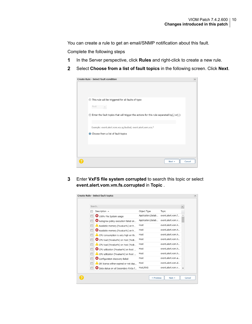You can create a rule to get an email/SNMP notification about this fault.

Complete the following steps

- **1** In the Server perspective, click **Rules** and right-click to create a new rule.
- **2** Select **Choose from a list of fault topics** in the following screen. Click **Next**.

| <b>Create Rule - Select fault condition</b>                                                         | $\times$ |
|-----------------------------------------------------------------------------------------------------|----------|
|                                                                                                     |          |
|                                                                                                     |          |
|                                                                                                     |          |
| ◯ This rule will be triggered for all faults of type:                                               |          |
| Fault                                                                                               |          |
| $\bullet$ Enter the fault topics that will trigger the actions for this rule separated by(,) or(;): |          |
| Example: event.alert.vom.vcs.sg.faulted, event.alert.vom.vcs.*                                      |          |
| • Choose from a list of fault topics                                                                |          |
|                                                                                                     |          |
|                                                                                                     |          |
|                                                                                                     |          |
| Next                                                                                                | Cancel   |

**3** Enter **VxFS file system corrupted** to search this topic or select **event.alert.vom.vm.fs.corrupted** in **Topic** .

|   | Search                               |                    |                   | $\times$ |
|---|--------------------------------------|--------------------|-------------------|----------|
|   | Description $\triangle$              | Object Type        | Topic             |          |
|   | 100% File System usage               | Application, Datab | event.alert.vom.f |          |
|   | Autogrow policy execution failed on  | Application, Datab | event.alert.vom.v |          |
| F | Available memory [%value%] on h      | Host               | event.alert.vom.h |          |
| Г | Available memory [%value%] on h      | Host               | event.alert.vom.h |          |
| Г | CPU consumption is very high on th   | Host               | event.alert.vom.h |          |
| m | CPU load [%value%] on host [%ob      | Host               | event.alert.vom.h |          |
| m | CPU load [%value%] on host [%ob      | Host               | event.alert.vom.h |          |
|   | C CPU utilization [%value%] on host  | Host               | event.alert.vom.h |          |
|   | CPU utilization [%value%] on host    | Host               | event.alert.vom.h |          |
| П | Configuration discovery failed       | Host               | event.alert.vom.a |          |
| m | DR license either expired or not dep | Host               | event.alert.vom.d |          |
|   | Data status on all Secondary RVGs f  | Host, RVG          | event.alert.vom.v |          |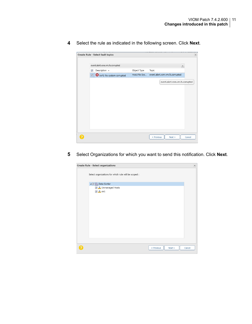**4** Select the rule as indicated in the following screen. Click **Next**.

|                                         | $\sim$ $\sim$<br>Create Rule - Select fault topics |                | $\times$                        |
|-----------------------------------------|----------------------------------------------------|----------------|---------------------------------|
|                                         |                                                    |                |                                 |
|                                         | event.alert.vom.vm.fs.corrupted                    |                | $\times$                        |
| $\overline{\mathsf{v}}$<br><b>COLOR</b> | Description =                                      | Object Type    | Topic                           |
| V                                       | VxFS file system corrupted                         | Host, File Sys | event.alert.vom.vm.fs.corrupted |
|                                         |                                                    |                | event.alert.vom.vm.fs.corrupted |
|                                         |                                                    |                |                                 |
|                                         |                                                    |                | < Previous<br>Next<br>Cancel    |

**5** Select Organizations for which you want to send this notification. Click **Next**.

| <b>Create Rule - Select organizations</b>            | $\left[\times\right]$ |
|------------------------------------------------------|-----------------------|
| Select organizations for which rule will be scoped : |                       |
| ▲ ■ Data Center                                      |                       |
| <b>V</b> <sub>d</sub> , Unmanaged Hosts              |                       |
| $\sqrt{2}$ de1                                       |                       |
|                                                      |                       |
|                                                      |                       |
|                                                      |                       |
|                                                      |                       |
|                                                      |                       |
|                                                      |                       |
|                                                      |                       |
|                                                      |                       |
|                                                      |                       |
|                                                      |                       |
|                                                      |                       |
| < Previous<br>Next<br>Cancel                         |                       |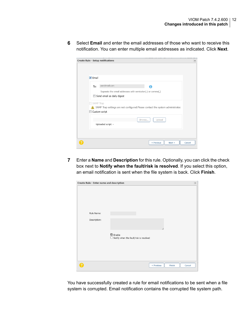**6** Select **Email** and enter the email addresses of those who want to receive this notification. You can enter multiple email addresses as indicated. Click **Next**.

| Create Rule - Setup notifications                                                                                     | $\mathsf{\times}$ |
|-----------------------------------------------------------------------------------------------------------------------|-------------------|
| $\triangledown$ Email                                                                                                 |                   |
| user@mail.com<br>To:<br>A<br>Separate the email addresses with semicolon(;) or comma(,)<br>Send email as daily digest |                   |
| SNMP Trap<br>SNMP Trap settings are not configured.Please contact the system administrator.<br>Custom script          |                   |
| Upload<br>Browse<br>Uploaded script: -                                                                                |                   |
| < Previous<br>Next                                                                                                    | Cancel            |

**7** Enter a **Name** and **Description** for this rule. Optionally, you can click the check box next to **Notify when the fault/risk is resolved**. If you select this option, an email notification is sent when the file system is back. Click **Finish**.

| Create Rule - Enter name and description |                                                                        | $\vert x \vert$ |
|------------------------------------------|------------------------------------------------------------------------|-----------------|
|                                          |                                                                        |                 |
| Rule Name:                               |                                                                        |                 |
| Description:                             | 7,                                                                     |                 |
|                                          | $\blacksquare$ Enable<br>$\Box$ Notify when the fault/risk is resolved |                 |
|                                          |                                                                        |                 |
|                                          |                                                                        |                 |
|                                          | < Previous<br>Finish<br>Cancel                                         |                 |

You have successfully created a rule for email notifications to be sent when a file system is corrupted. Email notification contains the corrupted file system path.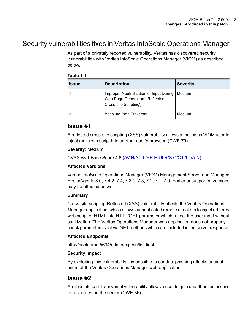## Security vulnerabilities fixes in Veritas InfoScale Operations Manager

As part of a privately reported vulnerability, Veritas has discovered security vulnerabilities with Veritas InfoScale Operations Manager (VIOM) as described below.

#### **Table 1-1**

| <b>Issue</b> | <b>Description</b>                                                                                   | <b>Severity</b> |
|--------------|------------------------------------------------------------------------------------------------------|-----------------|
|              | Improper Neutralization of Input During<br>Web Page Generation ('Reflected<br>Cross-site Scripting') | Medium          |
|              | Absolute Path Traversal                                                                              | Medium          |

### **Issue #1**

A reflected cross-site scripting (XSS) vulnerability allows a malicious VIOM user to inject malicious script into another user's browser. (CWE-79)

#### **Severity**: Medium

CVSS v3.1 Base Score 4.8 [\(AV:N/AC:L/PR:H/UI:R/S:C/C:L/I:L/A:N\)](https://www.first.org/cvss/calculator/3.1#CVSS:3.1/AV:N/AC:L/PR:H/UI:R/S:C/C:L/I:L/A:L)

#### **Affected Versions**

Veritas InfoScale Operations Manager (VIOM) Management Server and Managed Hosts/Agents 8.0, 7.4.2, 7.4, 7.3.1, 7.3, 7.2, 7.1, 7.0. Earlier unsupported versions may be affected as well.

#### **Summary**

Cross-site scripting Reflected (XSS) vulnerability affects the Veritas Operations Manager application, which allows authenticated remote attackers to inject arbitrary web script or HTML into HTTP/GET parameter which reflect the user input without sanitization. The Veritas Operations Manager web application does not properly check parameters sent via GET methods which are included in the server response.

#### **Affected Endpoints**

http://hostname:5634/admin/cgi-bin/listdir.pl

#### **Security Impact**

By exploiting this vulnerability it is possible to conduct phishing attacks against users of the Veritas Operations Manager web application.

### **Issue #2**

An absolute path transversal vulnerability allows a user to gain unauthorized access to resources on the server (CWE-36).